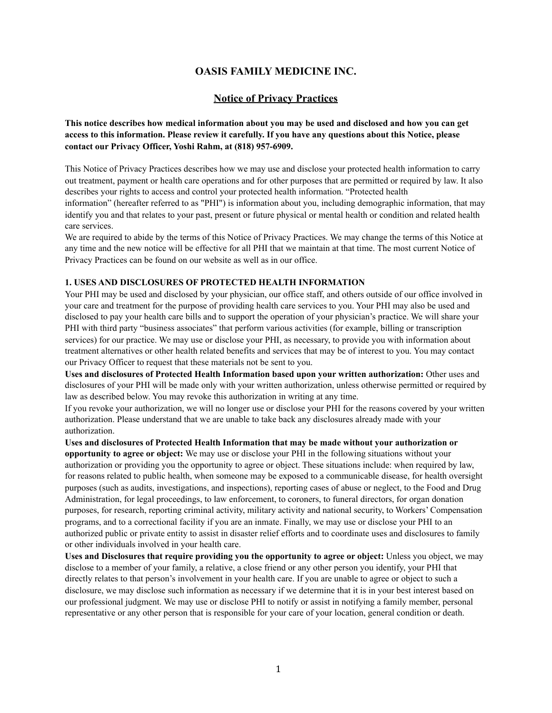## **OASIS FAMILY MEDICINE INC.**

## **Notice of Privacy Practices**

**This notice describes how medical information about you may be used and disclosed and how you can get access to this information. Please review it carefully. If you have any questions about this Notice, please contact our Privacy Officer, Yoshi Rahm, at (818) 957-6909.**

This Notice of Privacy Practices describes how we may use and disclose your protected health information to carry out treatment, payment or health care operations and for other purposes that are permitted or required by law. It also describes your rights to access and control your protected health information. "Protected health

information" (hereafter referred to as "PHI") is information about you, including demographic information, that may identify you and that relates to your past, present or future physical or mental health or condition and related health care services.

We are required to abide by the terms of this Notice of Privacy Practices. We may change the terms of this Notice at any time and the new notice will be effective for all PHI that we maintain at that time. The most current Notice of Privacy Practices can be found on our website as well as in our office.

## **1. USES AND DISCLOSURES OF PROTECTED HEALTH INFORMATION**

Your PHI may be used and disclosed by your physician, our office staff, and others outside of our office involved in your care and treatment for the purpose of providing health care services to you. Your PHI may also be used and disclosed to pay your health care bills and to support the operation of your physician's practice. We will share your PHI with third party "business associates" that perform various activities (for example, billing or transcription services) for our practice. We may use or disclose your PHI, as necessary, to provide you with information about treatment alternatives or other health related benefits and services that may be of interest to you. You may contact our Privacy Officer to request that these materials not be sent to you.

**Uses and disclosures of Protected Health Information based upon your written authorization:** Other uses and disclosures of your PHI will be made only with your written authorization, unless otherwise permitted or required by law as described below. You may revoke this authorization in writing at any time.

If you revoke your authorization, we will no longer use or disclose your PHI for the reasons covered by your written authorization. Please understand that we are unable to take back any disclosures already made with your authorization.

**Uses and disclosures of Protected Health Information that may be made without your authorization or opportunity to agree or object:** We may use or disclose your PHI in the following situations without your authorization or providing you the opportunity to agree or object. These situations include: when required by law, for reasons related to public health, when someone may be exposed to a communicable disease, for health oversight purposes (such as audits, investigations, and inspections), reporting cases of abuse or neglect, to the Food and Drug Administration, for legal proceedings, to law enforcement, to coroners, to funeral directors, for organ donation purposes, for research, reporting criminal activity, military activity and national security, to Workers' Compensation programs, and to a correctional facility if you are an inmate. Finally, we may use or disclose your PHI to an authorized public or private entity to assist in disaster relief efforts and to coordinate uses and disclosures to family or other individuals involved in your health care.

**Uses and Disclosures that require providing you the opportunity to agree or object:** Unless you object, we may disclose to a member of your family, a relative, a close friend or any other person you identify, your PHI that directly relates to that person's involvement in your health care. If you are unable to agree or object to such a disclosure, we may disclose such information as necessary if we determine that it is in your best interest based on our professional judgment. We may use or disclose PHI to notify or assist in notifying a family member, personal representative or any other person that is responsible for your care of your location, general condition or death.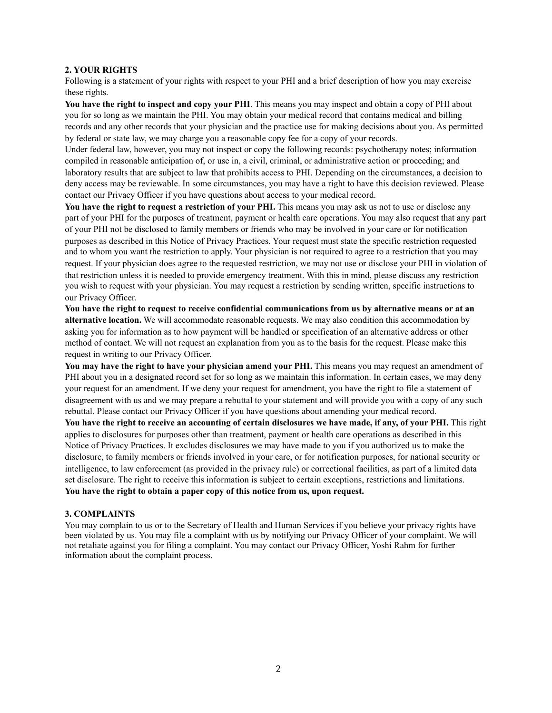### **2. YOUR RIGHTS**

Following is a statement of your rights with respect to your PHI and a brief description of how you may exercise these rights.

**You have the right to inspect and copy your PHI**. This means you may inspect and obtain a copy of PHI about you for so long as we maintain the PHI. You may obtain your medical record that contains medical and billing records and any other records that your physician and the practice use for making decisions about you. As permitted by federal or state law, we may charge you a reasonable copy fee for a copy of your records.

Under federal law, however, you may not inspect or copy the following records: psychotherapy notes; information compiled in reasonable anticipation of, or use in, a civil, criminal, or administrative action or proceeding; and laboratory results that are subject to law that prohibits access to PHI. Depending on the circumstances, a decision to deny access may be reviewable. In some circumstances, you may have a right to have this decision reviewed. Please contact our Privacy Officer if you have questions about access to your medical record.

**You have the right to request a restriction of your PHI.** This means you may ask us not to use or disclose any part of your PHI for the purposes of treatment, payment or health care operations. You may also request that any part of your PHI not be disclosed to family members or friends who may be involved in your care or for notification purposes as described in this Notice of Privacy Practices. Your request must state the specific restriction requested and to whom you want the restriction to apply. Your physician is not required to agree to a restriction that you may request. If your physician does agree to the requested restriction, we may not use or disclose your PHI in violation of that restriction unless it is needed to provide emergency treatment. With this in mind, please discuss any restriction you wish to request with your physician. You may request a restriction by sending written, specific instructions to our Privacy Officer.

**You have the right to request to receive confidential communications from us by alternative means or at an alternative location.** We will accommodate reasonable requests. We may also condition this accommodation by asking you for information as to how payment will be handled or specification of an alternative address or other method of contact. We will not request an explanation from you as to the basis for the request. Please make this request in writing to our Privacy Officer.

**You may have the right to have your physician amend your PHI.** This means you may request an amendment of PHI about you in a designated record set for so long as we maintain this information. In certain cases, we may deny your request for an amendment. If we deny your request for amendment, you have the right to file a statement of disagreement with us and we may prepare a rebuttal to your statement and will provide you with a copy of any such rebuttal. Please contact our Privacy Officer if you have questions about amending your medical record.

**You have the right to receive an accounting of certain disclosures we have made, if any, of your PHI.** This right applies to disclosures for purposes other than treatment, payment or health care operations as described in this Notice of Privacy Practices. It excludes disclosures we may have made to you if you authorized us to make the disclosure, to family members or friends involved in your care, or for notification purposes, for national security or intelligence, to law enforcement (as provided in the privacy rule) or correctional facilities, as part of a limited data set disclosure. The right to receive this information is subject to certain exceptions, restrictions and limitations. **You have the right to obtain a paper copy of this notice from us, upon request.**

#### **3. COMPLAINTS**

You may complain to us or to the Secretary of Health and Human Services if you believe your privacy rights have been violated by us. You may file a complaint with us by notifying our Privacy Officer of your complaint. We will not retaliate against you for filing a complaint. You may contact our Privacy Officer, Yoshi Rahm for further information about the complaint process.